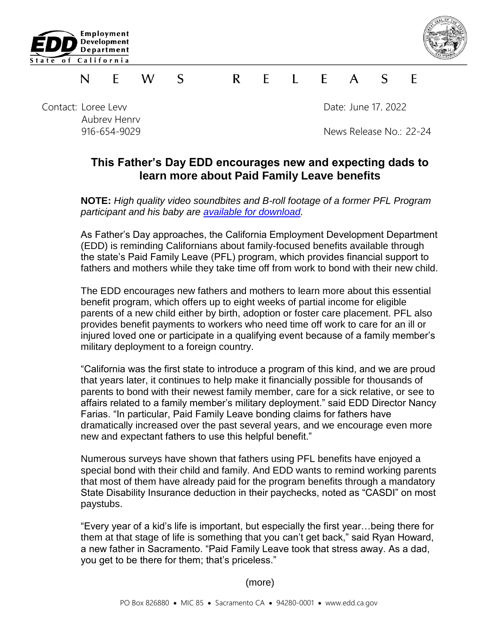



## S.  $\mathsf{R}$ E  $\blacksquare$  $\mathcal{S}$ F N F. W  $\mathsf{A}$

Contact: Loree Levy Date: June 17, 2022 Aubrey Henry

916-654-9029 News Release No.: 22-24

## **This Father's Day EDD encourages new and expecting dads to learn more about Paid Family Leave benefits**

**NOTE:** *High quality video soundbites and B-roll footage of a former PFL Program participant and his baby are [available for download.](https://vimeo.com/716036492/145f688949)* 

As Father's Day approaches, the California Employment Development Department (EDD) is reminding Californians about family-focused benefits available through the state's Paid Family Leave (PFL) program, which provides financial support to fathers and mothers while they take time off from work to bond with their new child.

The EDD encourages new fathers and mothers to learn more about this essential benefit program, which offers up to eight weeks of partial income for eligible parents of a new child either by birth, adoption or foster care placement. PFL also provides benefit payments to workers who need time off work to care for an ill or injured loved one or participate in a qualifying event because of a family member's military deployment to a foreign country.

"California was the first state to introduce a program of this kind, and we are proud that years later, it continues to help make it financially possible for thousands of parents to bond with their newest family member, care for a sick relative, or see to affairs related to a family member's military deployment." said EDD Director Nancy Farias. "In particular, Paid Family Leave bonding claims for fathers have dramatically increased over the past several years, and we encourage even more new and expectant fathers to use this helpful benefit."

Numerous surveys have shown that fathers using PFL benefits have enjoyed a special bond with their child and family. And EDD wants to remind working parents that most of them have already paid for the program benefits through a mandatory State Disability Insurance deduction in their paychecks, noted as "CASDI" on most paystubs.

"Every year of a kid's life is important, but especially the first year…being there for them at that stage of life is something that you can't get back," said Ryan Howard, a new father in Sacramento. "Paid Family Leave took that stress away. As a dad, you get to be there for them; that's priceless."

(more)